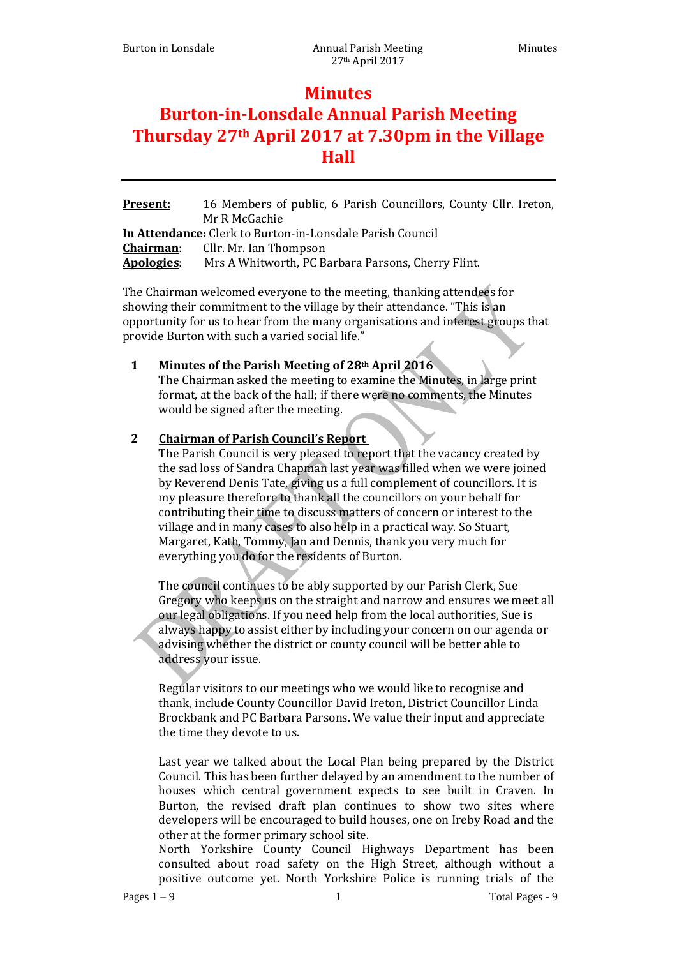## **Minutes**

# **Burton-in-Lonsdale Annual Parish Meeting Thursday 27th April 2017 at 7.30pm in the Village Hall**

**Present:** 16 Members of public, 6 Parish Councillors, County Cllr. Ireton, Mr R McGachie **In Attendance:** Clerk to Burton-in-Lonsdale Parish Council

**Chairman**: Cllr. Mr. Ian Thompson

**Apologies**: Mrs A Whitworth, PC Barbara Parsons, Cherry Flint.

The Chairman welcomed everyone to the meeting, thanking attendees for showing their commitment to the village by their attendance. "This is an opportunity for us to hear from the many organisations and interest groups that provide Burton with such a varied social life."

## **1 Minutes of the Parish Meeting of 28th April 2016**

The Chairman asked the meeting to examine the Minutes, in large print format, at the back of the hall; if there were no comments, the Minutes would be signed after the meeting.

## **2 Chairman of Parish Council's Report**

The Parish Council is very pleased to report that the vacancy created by the sad loss of Sandra Chapman last year was filled when we were joined by Reverend Denis Tate, giving us a full complement of councillors. It is my pleasure therefore to thank all the councillors on your behalf for contributing their time to discuss matters of concern or interest to the village and in many cases to also help in a practical way. So Stuart, Margaret, Kath, Tommy, Jan and Dennis, thank you very much for everything you do for the residents of Burton.

The council continues to be ably supported by our Parish Clerk, Sue Gregory who keeps us on the straight and narrow and ensures we meet all our legal obligations. If you need help from the local authorities, Sue is always happy to assist either by including your concern on our agenda or advising whether the district or county council will be better able to address your issue.

Regular visitors to our meetings who we would like to recognise and thank, include County Councillor David Ireton, District Councillor Linda Brockbank and PC Barbara Parsons. We value their input and appreciate the time they devote to us.

Last year we talked about the Local Plan being prepared by the District Council. This has been further delayed by an amendment to the number of houses which central government expects to see built in Craven. In Burton, the revised draft plan continues to show two sites where developers will be encouraged to build houses, one on Ireby Road and the other at the former primary school site.

North Yorkshire County Council Highways Department has been consulted about road safety on the High Street, although without a positive outcome yet. North Yorkshire Police is running trials of the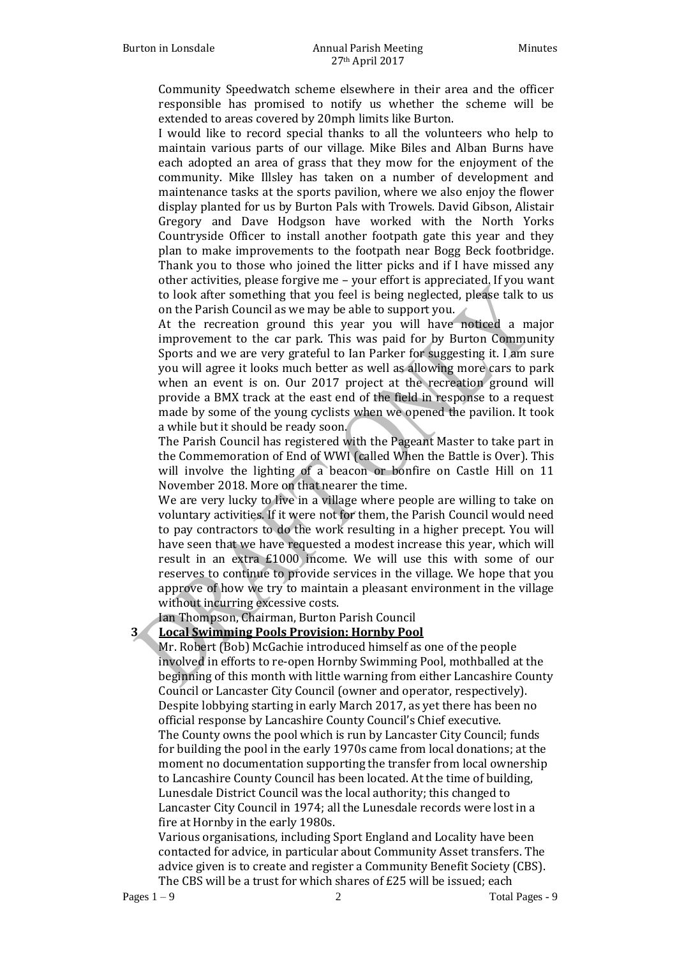Community Speedwatch scheme elsewhere in their area and the officer responsible has promised to notify us whether the scheme will be extended to areas covered by 20mph limits like Burton.

I would like to record special thanks to all the volunteers who help to maintain various parts of our village. Mike Biles and Alban Burns have each adopted an area of grass that they mow for the enjoyment of the community. Mike Illsley has taken on a number of development and maintenance tasks at the sports pavilion, where we also enjoy the flower display planted for us by Burton Pals with Trowels. David Gibson, Alistair Gregory and Dave Hodgson have worked with the North Yorks Countryside Officer to install another footpath gate this year and they plan to make improvements to the footpath near Bogg Beck footbridge. Thank you to those who joined the litter picks and if I have missed any other activities, please forgive me – your effort is appreciated. If you want to look after something that you feel is being neglected, please talk to us on the Parish Council as we may be able to support you.

At the recreation ground this year you will have noticed a major improvement to the car park. This was paid for by Burton Community Sports and we are very grateful to Ian Parker for suggesting it. I am sure you will agree it looks much better as well as allowing more cars to park when an event is on. Our 2017 project at the recreation ground will provide a BMX track at the east end of the field in response to a request made by some of the young cyclists when we opened the pavilion. It took a while but it should be ready soon.

The Parish Council has registered with the Pageant Master to take part in the Commemoration of End of WWI (called When the Battle is Over). This will involve the lighting of a beacon or bonfire on Castle Hill on 11 November 2018. More on that nearer the time.

We are very lucky to live in a village where people are willing to take on voluntary activities. If it were not for them, the Parish Council would need to pay contractors to do the work resulting in a higher precept. You will have seen that we have requested a modest increase this year, which will result in an extra £1000 income. We will use this with some of our reserves to continue to provide services in the village. We hope that you approve of how we try to maintain a pleasant environment in the village without incurring excessive costs.

Ian Thompson, Chairman, Burton Parish Council

## **3 Local Swimming Pools Provision: Hornby Pool**

Mr. Robert (Bob) McGachie introduced himself as one of the people involved in efforts to re-open Hornby Swimming Pool, mothballed at the beginning of this month with little warning from either Lancashire County Council or Lancaster City Council (owner and operator, respectively). Despite lobbying starting in early March 2017, as yet there has been no official response by Lancashire County Council's Chief executive. The County owns the pool which is run by Lancaster City Council; funds for building the pool in the early 1970s came from local donations; at the moment no documentation supporting the transfer from local ownership to Lancashire County Council has been located. At the time of building, Lunesdale District Council was the local authority; this changed to Lancaster City Council in 1974; all the Lunesdale records were lost in a fire at Hornby in the early 1980s.

Various organisations, including Sport England and Locality have been contacted for advice, in particular about Community Asset transfers. The advice given is to create and register a Community Benefit Society (CBS). The CBS will be a trust for which shares of £25 will be issued; each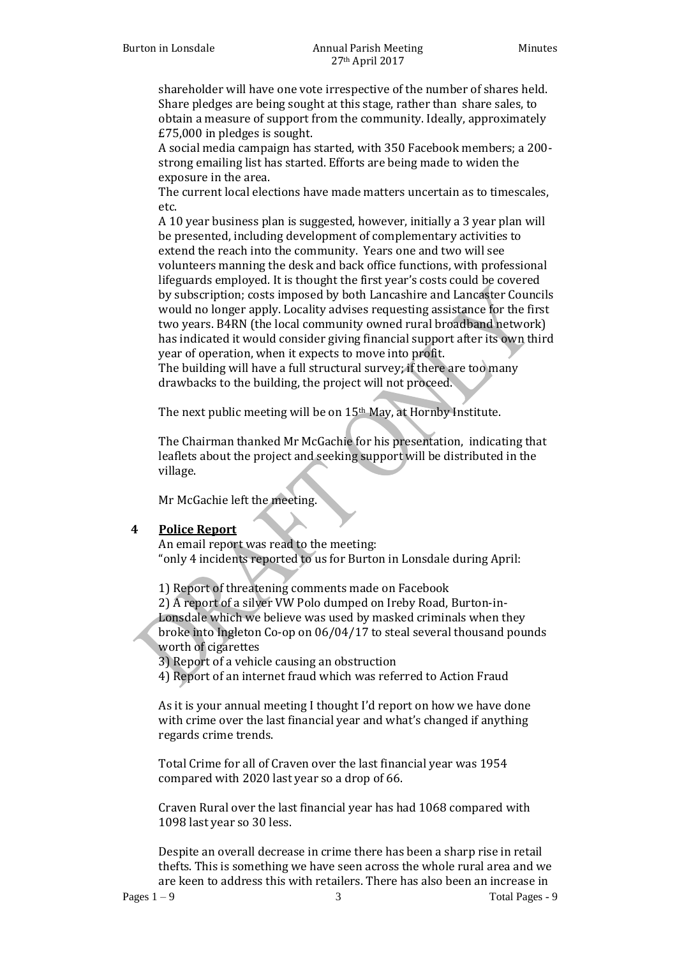shareholder will have one vote irrespective of the number of shares held. Share pledges are being sought at this stage, rather than share sales, to obtain a measure of support from the community. Ideally, approximately £75,000 in pledges is sought.

A social media campaign has started, with 350 Facebook members; a 200 strong emailing list has started. Efforts are being made to widen the exposure in the area.

The current local elections have made matters uncertain as to timescales, etc.

A 10 year business plan is suggested, however, initially a 3 year plan will be presented, including development of complementary activities to extend the reach into the community. Years one and two will see volunteers manning the desk and back office functions, with professional lifeguards employed. It is thought the first year's costs could be covered by subscription; costs imposed by both Lancashire and Lancaster Councils would no longer apply. Locality advises requesting assistance for the first two years. B4RN (the local community owned rural broadband network) has indicated it would consider giving financial support after its own third year of operation, when it expects to move into profit. The building will have a full structural survey; if there are too many drawbacks to the building, the project will not proceed.

The next public meeting will be on 15th May, at Hornby Institute.

The Chairman thanked Mr McGachie for his presentation, indicating that leaflets about the project and seeking support will be distributed in the village.

Mr McGachie left the meeting.

#### **4 Police Report**

An email report was read to the meeting: "only 4 incidents reported to us for Burton in Lonsdale during April:

1) Report of threatening comments made on Facebook 2) A report of a silver VW Polo dumped on Ireby Road, Burton-in-Lonsdale which we believe was used by masked criminals when they broke into Ingleton Co-op on 06/04/17 to steal several thousand pounds worth of cigarettes

3) Report of a vehicle causing an obstruction

4) Report of an internet fraud which was referred to Action Fraud

As it is your annual meeting I thought I'd report on how we have done with crime over the last financial year and what's changed if anything regards crime trends.

Total Crime for all of Craven over the last financial year was 1954 compared with 2020 last year so a drop of 66.

Craven Rural over the last financial year has had 1068 compared with 1098 last year so 30 less.

Despite an overall decrease in crime there has been a sharp rise in retail thefts. This is something we have seen across the whole rural area and we are keen to address this with retailers. There has also been an increase in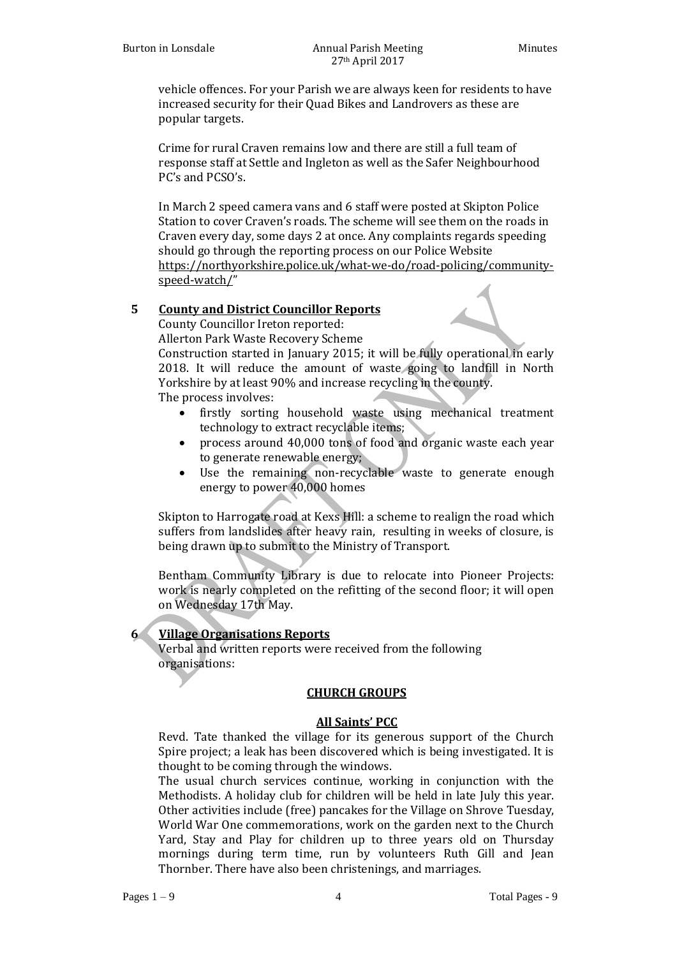vehicle offences. For your Parish we are always keen for residents to have increased security for their Quad Bikes and Landrovers as these are popular targets.

Crime for rural Craven remains low and there are still a full team of response staff at Settle and Ingleton as well as the Safer Neighbourhood PC's and PCSO's.

In March 2 speed camera vans and 6 staff were posted at Skipton Police Station to cover Craven's roads. The scheme will see them on the roads in Craven every day, some days 2 at once. Any complaints regards speeding should go through the reporting process on our Police Website [https://northyorkshire.police.uk/what-we-do/road-policing/community](https://northyorkshire.police.uk/what-we-do/road-policing/community-speed-watch/)[speed-watch/](https://northyorkshire.police.uk/what-we-do/road-policing/community-speed-watch/)"

#### **5 County and District Councillor Reports**

County Councillor Ireton reported:

Allerton Park Waste Recovery Scheme

Construction started in January 2015; it will be fully operational in early 2018. It will reduce the amount of waste going to landfill in North Yorkshire by at least 90% and increase recycling in the county.

The process involves:

- firstly sorting household waste using mechanical treatment technology to extract recyclable items;
- process around 40,000 tons of food and organic waste each year to generate renewable energy;
- Use the remaining non-recyclable waste to generate enough energy to power 40,000 homes

Skipton to Harrogate road at Kexs Hill: a scheme to realign the road which suffers from landslides after heavy rain, resulting in weeks of closure, is being drawn up to submit to the Ministry of Transport.

Bentham Community Library is due to relocate into Pioneer Projects: work is nearly completed on the refitting of the second floor; it will open on Wednesday 17th May.

#### **6 Village Organisations Reports**

Verbal and written reports were received from the following organisations:

#### **CHURCH GROUPS**

## **All Saints' PCC**

Revd. Tate thanked the village for its generous support of the Church Spire project; a leak has been discovered which is being investigated. It is thought to be coming through the windows.

The usual church services continue, working in conjunction with the Methodists. A holiday club for children will be held in late July this year. Other activities include (free) pancakes for the Village on Shrove Tuesday, World War One commemorations, work on the garden next to the Church Yard, Stay and Play for children up to three years old on Thursday mornings during term time, run by volunteers Ruth Gill and Jean Thornber. There have also been christenings, and marriages.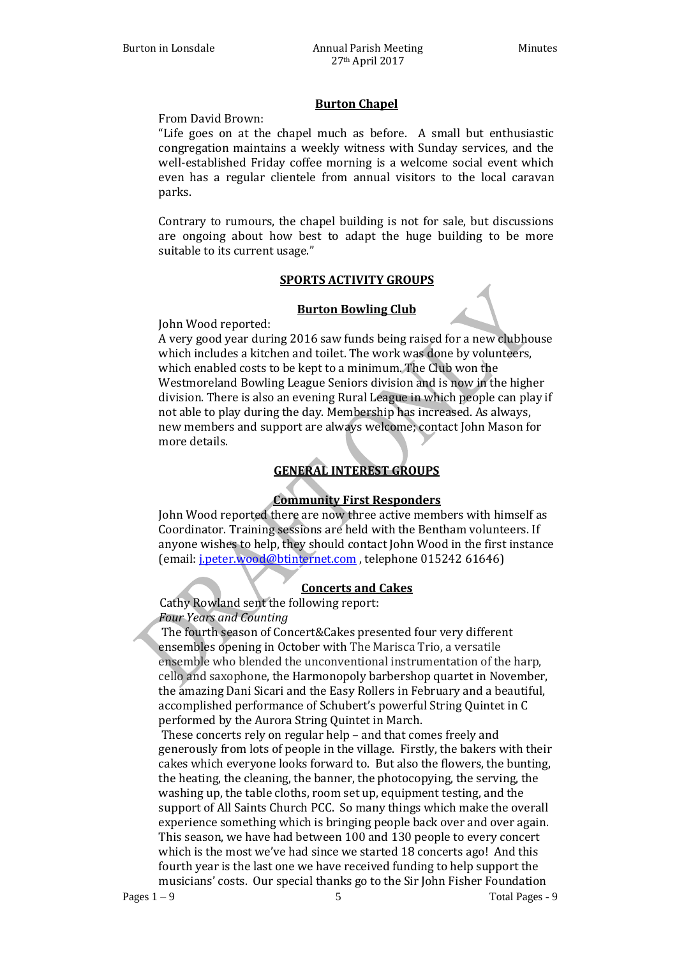## **Burton Chapel**

From David Brown:

"Life goes on at the chapel much as before. A small but enthusiastic congregation maintains a weekly witness with Sunday services, and the well-established Friday coffee morning is a welcome social event which even has a regular clientele from annual visitors to the local caravan parks.

Contrary to rumours, the chapel building is not for sale, but discussions are ongoing about how best to adapt the huge building to be more suitable to its current usage."

#### **SPORTS ACTIVITY GROUPS**

#### **Burton Bowling Club**

John Wood reported:

A very good year during 2016 saw funds being raised for a new clubhouse which includes a kitchen and toilet. The work was done by volunteers, which enabled costs to be kept to a minimum. The Club won the Westmoreland Bowling League Seniors division and is now in the higher division. There is also an evening Rural League in which people can play if not able to play during the day. Membership has increased. As always, new members and support are always welcome; contact John Mason for more details.

## **GENERAL INTEREST GROUPS**

## **Community First Responders**

John Wood reported there are now three active members with himself as Coordinator. Training sessions are held with the Bentham volunteers. If anyone wishes to help, they should contact John Wood in the first instance (email: [j.peter.wood@btinternet.com](mailto:j.peter.wood@btinternet.com) , telephone 015242 61646)

#### **Concerts and Cakes**

Cathy Rowland sent the following report: *Four Years and Counting*

The fourth season of Concert&Cakes presented four very different ensembles opening in October with The Marisca Trio, a versatile ensemble who blended the unconventional instrumentation of the harp, cello and saxophone, the Harmonopoly barbershop quartet in November, the amazing Dani Sicari and the Easy Rollers in February and a beautiful, accomplished performance of Schubert's powerful String Quintet in C performed by the Aurora String Quintet in March.

These concerts rely on regular help – and that comes freely and generously from lots of people in the village. Firstly, the bakers with their cakes which everyone looks forward to. But also the flowers, the bunting, the heating, the cleaning, the banner, the photocopying, the serving, the washing up, the table cloths, room set up, equipment testing, and the support of All Saints Church PCC. So many things which make the overall experience something which is bringing people back over and over again. This season, we have had between 100 and 130 people to every concert which is the most we've had since we started 18 concerts ago! And this fourth year is the last one we have received funding to help support the musicians' costs. Our special thanks go to the Sir John Fisher Foundation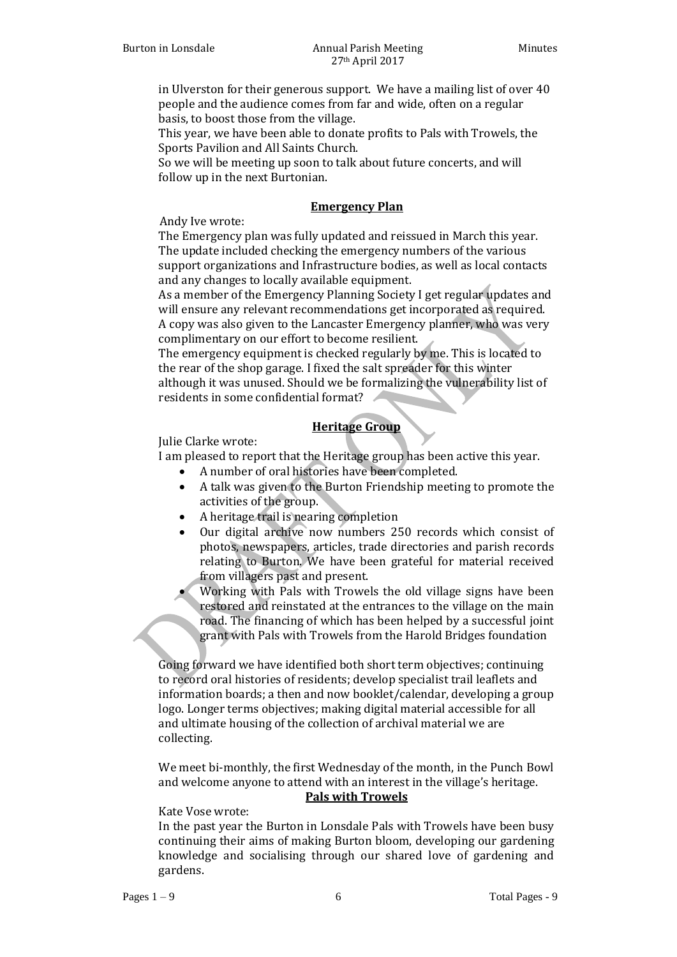in Ulverston for their generous support. We have a mailing list of over 40 people and the audience comes from far and wide, often on a regular basis, to boost those from the village.

This year, we have been able to donate profits to Pals with Trowels, the Sports Pavilion and All Saints Church.

So we will be meeting up soon to talk about future concerts, and will follow up in the next Burtonian.

### **Emergency Plan**

Andy Ive wrote:

The Emergency plan was fully updated and reissued in March this year. The update included checking the emergency numbers of the various support organizations and Infrastructure bodies, as well as local contacts and any changes to locally available equipment.

As a member of the Emergency Planning Society I get regular updates and will ensure any relevant recommendations get incorporated as required. A copy was also given to the Lancaster Emergency planner, who was very complimentary on our effort to become resilient.

The emergency equipment is checked regularly by me. This is located to the rear of the shop garage. I fixed the salt spreader for this winter although it was unused. Should we be formalizing the vulnerability list of residents in some confidential format?

## **Heritage Group**

Julie Clarke wrote:

I am pleased to report that the Heritage group has been active this year.

- A number of oral histories have been completed.
- A talk was given to the Burton Friendship meeting to promote the activities of the group.
- A heritage trail is nearing completion
- Our digital archive now numbers 250 records which consist of photos, newspapers, articles, trade directories and parish records relating to Burton. We have been grateful for material received from villagers past and present.
- Working with Pals with Trowels the old village signs have been restored and reinstated at the entrances to the village on the main road. The financing of which has been helped by a successful joint grant with Pals with Trowels from the Harold Bridges foundation

Going forward we have identified both short term objectives; continuing to record oral histories of residents; develop specialist trail leaflets and information boards; a then and now booklet/calendar, developing a group logo. Longer terms objectives; making digital material accessible for all and ultimate housing of the collection of archival material we are collecting.

We meet bi-monthly, the first Wednesday of the month, in the Punch Bowl and welcome anyone to attend with an interest in the village's heritage.

#### **Pals with Trowels**

## Kate Vose wrote:

In the past year the Burton in Lonsdale Pals with Trowels have been busy continuing their aims of making Burton bloom, developing our gardening knowledge and socialising through our shared love of gardening and gardens.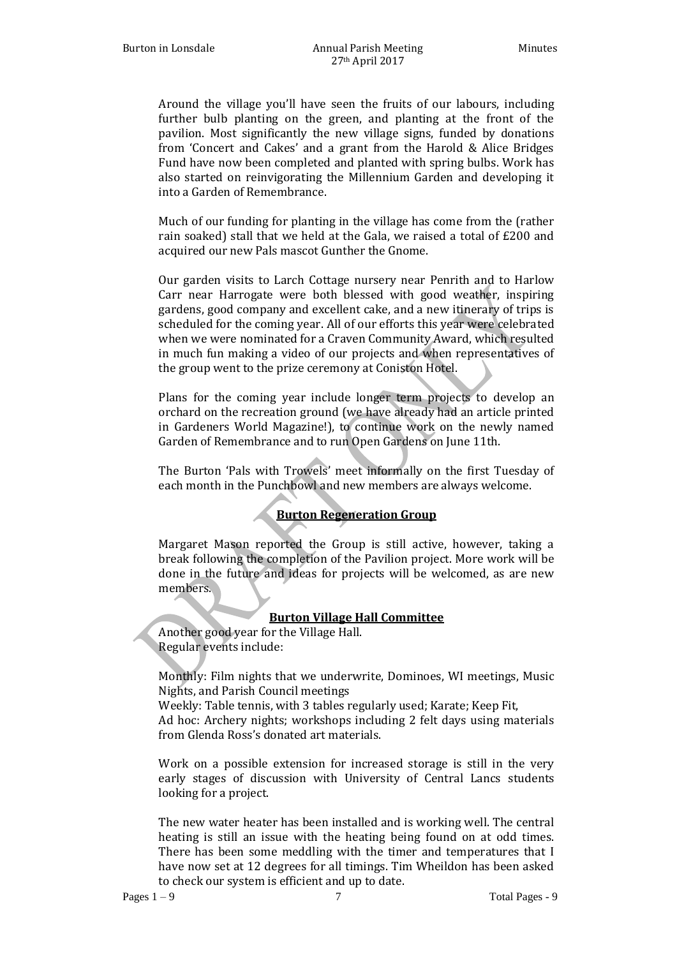Around the village you'll have seen the fruits of our labours, including further bulb planting on the green, and planting at the front of the pavilion. Most significantly the new village signs, funded by donations from 'Concert and Cakes' and a grant from the Harold & Alice Bridges Fund have now been completed and planted with spring bulbs. Work has also started on reinvigorating the Millennium Garden and developing it into a Garden of Remembrance.

Much of our funding for planting in the village has come from the (rather rain soaked) stall that we held at the Gala, we raised a total of £200 and acquired our new Pals mascot Gunther the Gnome.

Our garden visits to Larch Cottage nursery near Penrith and to Harlow Carr near Harrogate were both blessed with good weather, inspiring gardens, good company and excellent cake, and a new itinerary of trips is scheduled for the coming year. All of our efforts this year were celebrated when we were nominated for a Craven Community Award, which resulted in much fun making a video of our projects and when representatives of the group went to the prize ceremony at Coniston Hotel.

Plans for the coming year include longer term projects to develop an orchard on the recreation ground (we have already had an article printed in Gardeners World Magazine!), to continue work on the newly named Garden of Remembrance and to run Open Gardens on June 11th.

The Burton 'Pals with Trowels' meet informally on the first Tuesday of each month in the Punchbowl and new members are always welcome.

## **Burton Regeneration Group**

Margaret Mason reported the Group is still active, however, taking a break following the completion of the Pavilion project. More work will be done in the future and ideas for projects will be welcomed, as are new members.

#### **Burton Village Hall Committee**

Another good year for the Village Hall. Regular events include:

Monthly: Film nights that we underwrite, Dominoes, WI meetings, Music Nights, and Parish Council meetings

Weekly: Table tennis, with 3 tables regularly used; Karate; Keep Fit, Ad hoc: Archery nights; workshops including 2 felt days using materials

from Glenda Ross's donated art materials.

Work on a possible extension for increased storage is still in the very early stages of discussion with University of Central Lancs students looking for a project.

The new water heater has been installed and is working well. The central heating is still an issue with the heating being found on at odd times. There has been some meddling with the timer and temperatures that I have now set at 12 degrees for all timings. Tim Wheildon has been asked to check our system is efficient and up to date.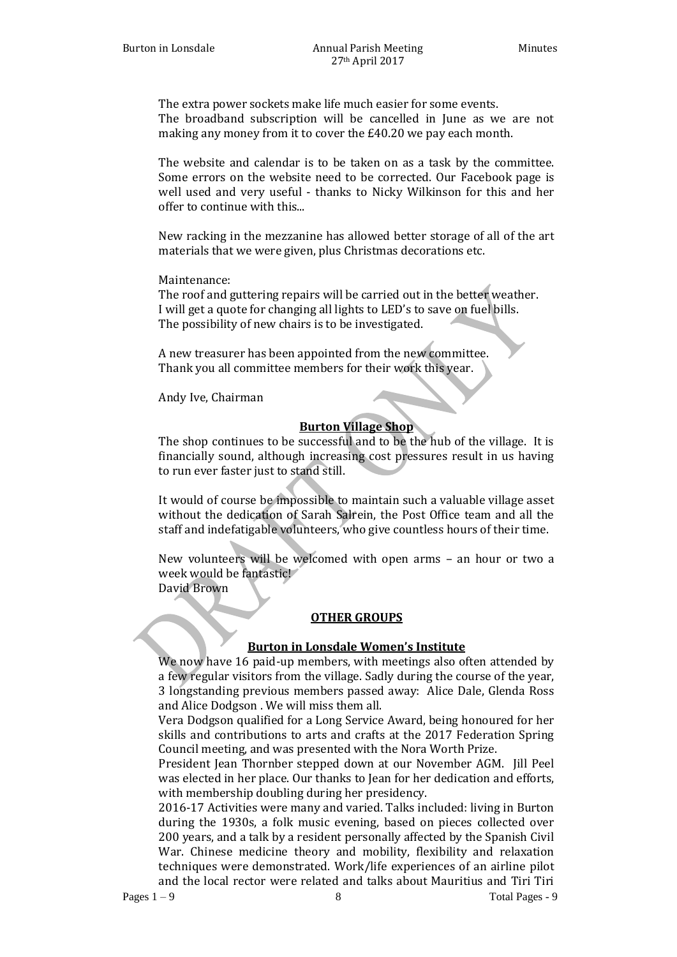The extra power sockets make life much easier for some events. The broadband subscription will be cancelled in June as we are not making any money from it to cover the £40.20 we pay each month.

The website and calendar is to be taken on as a task by the committee. Some errors on the website need to be corrected. Our Facebook page is well used and very useful - thanks to Nicky Wilkinson for this and her offer to continue with this...

New racking in the mezzanine has allowed better storage of all of the art materials that we were given, plus Christmas decorations etc.

Maintenance:

The roof and guttering repairs will be carried out in the better weather. I will get a quote for changing all lights to LED's to save on fuel bills. The possibility of new chairs is to be investigated.

A new treasurer has been appointed from the new committee. Thank you all committee members for their work this year.

Andy Ive, Chairman

## **Burton Village Shop**

The shop continues to be successful and to be the hub of the village. It is financially sound, although increasing cost pressures result in us having to run ever faster just to stand still.

It would of course be impossible to maintain such a valuable village asset without the dedication of Sarah Salrein, the Post Office team and all the staff and indefatigable volunteers, who give countless hours of their time.

New volunteers will be welcomed with open arms – an hour or two a week would be fantastic!

David Brown

#### **OTHER GROUPS**

#### **Burton in Lonsdale Women's Institute**

We now have 16 paid-up members, with meetings also often attended by a few regular visitors from the village. Sadly during the course of the year, 3 longstanding previous members passed away: Alice Dale, Glenda Ross and Alice Dodgson . We will miss them all.

Vera Dodgson qualified for a Long Service Award, being honoured for her skills and contributions to arts and crafts at the 2017 Federation Spring Council meeting, and was presented with the Nora Worth Prize.

President Jean Thornber stepped down at our November AGM. Jill Peel was elected in her place. Our thanks to Jean for her dedication and efforts, with membership doubling during her presidency.

2016-17 Activities were many and varied. Talks included: living in Burton during the 1930s, a folk music evening, based on pieces collected over 200 years, and a talk by a resident personally affected by the Spanish Civil War. Chinese medicine theory and mobility, flexibility and relaxation techniques were demonstrated. Work/life experiences of an airline pilot and the local rector were related and talks about Mauritius and Tiri Tiri

Pages 1 – 9 8 8 Total Pages - 9